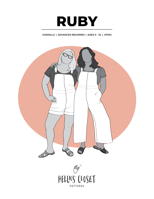

# **OVERALLS | ADVANCED BEGINNER | SIZES 0 - 34 | #7002**

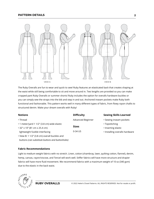# **PATTERN DETAILS**



The Ruby Overalls are fun to wear and quick to sew! Ruby features an elasticated back that creates shaping at the waist while still being comfortable to sit and move around in. Two lengths are provided so you can make cropped pant Ruby Overalls or summer shorts! Ruby includes the option for overalls hardware buckles or you can simply sew the straps into the bib and step in and out. Anchored inseam pockets make Ruby both functional and fashionable. This pattern works well in many different types of fabric, from flowy rayon challis to structured denim. Make your dream overalls with Ruby!

**Difficulty**

**Sizes** 0-34 US

Advanced Beginner

## **Notions**

### • Thread

- 1 meter/yard 1 1/2" (3.8 cm) wide elastic
- 32" x 10" (81 cm x 25.4 cm)
- lightweight fusible interfacing
- View B: 1 1/2" (3.8 cm) overall buckles and buttons *(can substitute buttons and buttonholes)*

#### **Fabric Recommendations**

Light to medium weight fabrics with no stretch. Linen, cotton (chambray, lawn, quilting cotton, flannel), denim, hemp, canvas, rayon/viscose, and Tencel will work well. Stiffer fabrics will have more structure and drapier fabrics will have more fluid movement. We recommend fabrics with a maximum weight of 10 oz (340 gsm) due to the elastic in the back waist.



# **Sewing Skills Learned**

- Sewing inseam pockets
- Topstitching
- Inserting elastic
- Installing overalls hardware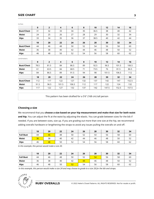# **SIZE CHART**

inches

| $\mathbf 0$ | $\overline{2}$ | 4     | 6     | 8   | 10   | 12    | 14    | 16    |
|-------------|----------------|-------|-------|-----|------|-------|-------|-------|
| 31          | 32             | 33    | 34    | 35  | 36.5 | 38    | 40    | 42    |
| 24          | 25             | 26    | 27    | 28  | 29   | 30    | 32    | 34    |
| 33          | 34             | 35    | 36    | 37  | 38.5 | 40    | 42    | 44    |
| 18          | 20             | 22    | 24    | 26  | 28   | 30    | 32    | 34    |
| 44          | 46             | 48    | 50    | 52  | 54   | 56    | 58    | 60    |
| 36          | 38             | 40    | 42    | 44  | 46   | 48    | 50    | 52    |
| 46          | 48             | 50    | 52    | 54  | 56   | 58    | 60    | 62    |
|             |                |       |       |     |      |       |       |       |
| $\mathbf 0$ | $\overline{2}$ | 4     | 6     | 8   | 10   | 12    | 14    | 16    |
| 78.5        | 81.5           | 84    | 86.5  | 89  | 92.5 | 96.5  | 101.5 | 106.5 |
| 61          | 63.5           | 66    | 68.5  | 71  | 73.5 | 76    | 81.5  | 86.5  |
| 84          | 86.5           | 89    | 91.5  | 94  | 98   | 101.5 | 106.5 | 112   |
| 18          | 20             | 22    | 24    | 26  | 28   | 30    | 32    | 34    |
| 112         | 117            | 122   | 127   | 132 | 137  | 142   | 147   | 152.5 |
| 91.5        | 96.5           | 101.5 | 106.5 | 112 | 117  | 122   | 124   | 132   |
| 117         | 122            | 127   | 132   | 137 | 142  | 147.5 | 152.5 | 157.5 |
|             |                |       |       |     |      |       |       |       |

This pattern has been drafted for a 5'6" (168 cm) tall person

# **Choosing a size**

We recommend that you **choose a size based on your hip measurement and make that size for both waist and hip.** You can adjust the fit at the waist by adjusting the elastic. You can grade between sizes for the bib if needed. If you are between sizes, size up. If you are grading out more than one size at the hip, we recommend adding overalls hardware or lengthening the straps to avoid any issues pulling the overalls on and off.

|                  | 18 | 20 | 22 | 24 | 26 | 28 | 30 | 32 | 34           |
|------------------|----|----|----|----|----|----|----|----|--------------|
| <b>Full Bust</b> | 44 | 46 | 48 | 50 | 52 | 54 | 56 | 58 | 60           |
| Waist            | 36 | 38 | 40 | 42 | 44 | 46 | 48 | 50 | $\sim$<br>ےر |
| <b>Hips</b>      | 46 | 48 | 50 | 52 | 54 | 56 | 58 | 60 | $\sim$<br>ρZ |

*In this example, this person would make a size 20.*

|                  | 18 | 20 | 22 | 24 | 26 | 28           | 30 | 32 | 34 |
|------------------|----|----|----|----|----|--------------|----|----|----|
| <b>Full Bust</b> | 44 | 46 | 48 | 50 | 52 | 54           | 56 | 58 | 60 |
| Waist            | 36 | 38 | 40 | 42 | 44 | 46           | 48 | 50 | 52 |
| <b>Hips</b>      | 46 | 48 | 50 | 52 | 54 | $\sim$<br>56 | 58 | 60 | 62 |

*In this example, this person would make a size 24 and may choose to grade to a size 28 for the bib and straps.*

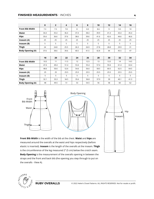## **FINISHED MEASUREMENTS** - INCHES

|                         | $\mathbf 0$ | $\overline{2}$ | $\overline{\mathbf{4}}$ | 6    | 8    | 10   | 12   | 14   | 16   |
|-------------------------|-------------|----------------|-------------------------|------|------|------|------|------|------|
| <b>Front Bib Width</b>  | 7.3         | 7.5            | 7.8                     | 8    | 8.3  | 8.6  | 9    | 9.5  | 10   |
| <b>Waist</b>            | 34.4        | 35.4           | 36.4                    | 37.4 | 38.4 | 39.9 | 41.4 | 43.4 | 45.4 |
| <b>Hips</b>             | 35.6        | 36.6           | 37.6                    | 38.6 | 39.6 | 41.6 | 42.6 | 44.6 | 46.6 |
| Inseam (A)              | 25          | 25             | 25                      | 25   | 25   | 25   | 25   | 25   | 25   |
| Inseam(B)               | 5           | 5              | 5                       | 5    | 5    | 5    | 5    | 5    | 5    |
| <b>Thigh</b>            | 24          | 24.8           | 25.5                    | 26.3 | 26.9 | 27.8 | 28.8 | 29.9 | 31   |
| <b>Body Opening (A)</b> | 37.6        | 38.6           | 39.6                    | 40.5 | 41.5 | 42.8 | 44   | 45.5 | 47   |

|                         | 18   | 20   | 22   | 24   | 26   | 28   | 30   | 32   | 34   |
|-------------------------|------|------|------|------|------|------|------|------|------|
| <b>Front Bib Width</b>  | 10.5 | 11   | 11.5 | 12   | 12.5 | 13   | 13.5 | 14   | 14.5 |
| <b>Waist</b>            | 47.4 | 49.4 | 51.4 | 53.4 | 55.4 | 57.4 | 59.4 | 61.4 | 63.4 |
| <b>Hips</b>             | 48.6 | 50.6 | 52.6 | 54.6 | 56.6 | 58.5 | 60.5 | 62.5 | 64.5 |
| Inseam (A)              | 25   | 25   | 25.5 | 25.5 | 25.5 | 25.5 | 25.5 | 25.5 | 25.5 |
| Inseam(B)               | 5    | 5    | 5    | 5    | 5    |      | 5    | 5    | 5    |
| <b>Thigh</b>            | 32.1 | 33.3 | 34.5 | 35.6 | 36.8 | 37.9 | 39   | 40.1 | 41.3 |
| <b>Body Opening (A)</b> | 48   | 49.5 | 51   | 53   | 54.5 | 56   | 58   | 60   | 62   |



**Front Bib Width** is the width of the bib at the chest. **Waist** and **hips** are measured around the overalls at the waist and hips respectively (before elastic is inserted). **Inseam** is the length of the overalls at the inseam. **Thigh**  is the circumference of the leg measured 2" (5 cm) below the crotch seam. **Body Opening** is the measurement of the overalls opening in between the straps and the front and back bib (the opening you step through to put on the overalls - View A).



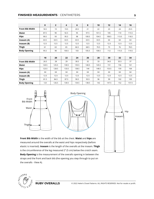# **FINISHED MEASUREMENTS** - CENTIMETERS

|                        | $\mathbf 0$ | $\overline{2}$ | 4     | 6    | 8     | 10    | 12    | 14    | 16    |
|------------------------|-------------|----------------|-------|------|-------|-------|-------|-------|-------|
| <b>Front Bib Width</b> | 18.5        | 19             | 19.5  | 20.5 | 21    | 22    | 23    | 24    | 25.5  |
| Waist                  | 87.5        | 90             | 92.5  | 95   | 97.5  | 101.5 | 105   | 110   | 115.5 |
| <b>Hips</b>            | 90.5        | 93             | 95.5  | 98   | 100.5 | 104.5 | 108.5 | 113.5 | 118.5 |
| Inseam (A)             | 63.5        | 63.5           | 63.5  | 63.5 | 63.5  | 63.5  | 64    | 64    | 64    |
| Inseam(B)              | 12.5        | 12.5           | 12.5  | 12.5 | 12.5  | 12.5  | 12.5  | 12.5  | 12.5  |
| <b>Thigh</b>           | 61          | 63             | 65    | 66.5 | 68.5  | 70.5  | 73    | 76    | 78.5  |
| <b>Body Opening</b>    | 95.5        | 98             | 100.5 | 103  | 105.5 | 108.5 | 112   | 115.5 | 119.5 |

|                        | 18    | 20    | 22    | 24    | 26    | 28    | 30    | 32   | 34    |
|------------------------|-------|-------|-------|-------|-------|-------|-------|------|-------|
| <b>Front Bib Width</b> | 26.5  | 28    | 29    | 30.5  | 32    | 33    | 34.5  | 35.5 | 37    |
| Waist                  | 120.5 | 125.5 | 130.5 | 135.5 | 140.5 | 145.5 | 151   | 156  | 161   |
| <b>Hips</b>            | 123.5 | 128.5 | 133.5 | 138.5 | 144   | 148.5 | 153.5 | 159  | 164   |
| Inseam (A)             | 64    | 64    | 64    | 64    | 64    | 64    | 64    | 64   | 64    |
| Inseam(B)              | 12.5  | 12.5  | 12.5  | 12.5  | 12.5  | 12.5  | 12.5  | 12.5 | 12.5  |
| <b>Thigh</b>           | 81.5  | 84.5  | 87.5  | 90.5  | 93.5  | 96    | 99    | 102  | 105   |
| <b>Body Opening</b>    | 123   | 126.5 | 130.5 | 134.5 | 138.5 | 142   | 147.5 | 152  | 157.5 |



**Front Bib Width** is the width of the bib at the chest. **Waist** and **hips** are measured around the overalls at the waist and hips respectively (before elastic is inserted). **Inseam** is the length of the overalls at the inseam. **Thigh**  is the circumference of the leg measured 2" (5 cm) below the crotch seam. **Body Opening** is the measurement of the overalls opening in between the straps and the front and back bib (the opening you step through to put on the overalls - View A).